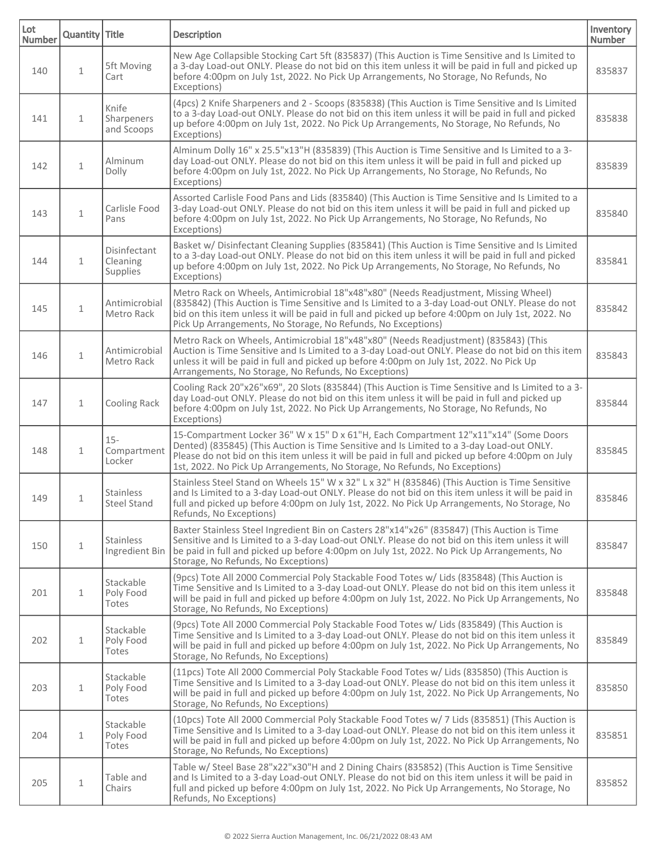| Lot<br><b>Number</b> | Quantity Title |                                             | <b>Description</b>                                                                                                                                                                                                                                                                                                                                                   | Inventory<br><b>Number</b> |
|----------------------|----------------|---------------------------------------------|----------------------------------------------------------------------------------------------------------------------------------------------------------------------------------------------------------------------------------------------------------------------------------------------------------------------------------------------------------------------|----------------------------|
| 140                  | $\mathbf{1}$   | 5ft Moving<br>Cart                          | New Age Collapsible Stocking Cart 5ft (835837) (This Auction is Time Sensitive and Is Limited to<br>a 3-day Load-out ONLY. Please do not bid on this item unless it will be paid in full and picked up<br>before 4:00pm on July 1st, 2022. No Pick Up Arrangements, No Storage, No Refunds, No<br>Exceptions)                                                        | 835837                     |
| 141                  | $\mathbf{1}$   | Knife<br>Sharpeners<br>and Scoops           | (4pcs) 2 Knife Sharpeners and 2 - Scoops (835838) (This Auction is Time Sensitive and Is Limited<br>to a 3-day Load-out ONLY. Please do not bid on this item unless it will be paid in full and picked<br>up before 4:00pm on July 1st, 2022. No Pick Up Arrangements, No Storage, No Refunds, No<br>Exceptions)                                                     | 835838                     |
| 142                  | $\mathbf 1$    | Alminum<br>Dolly                            | Alminum Dolly 16" x 25.5"x13"H (835839) (This Auction is Time Sensitive and Is Limited to a 3-<br>day Load-out ONLY. Please do not bid on this item unless it will be paid in full and picked up<br>before 4:00pm on July 1st, 2022. No Pick Up Arrangements, No Storage, No Refunds, No<br>Exceptions)                                                              | 835839                     |
| 143                  | $\mathbf 1$    | Carlisle Food<br>Pans                       | Assorted Carlisle Food Pans and Lids (835840) (This Auction is Time Sensitive and Is Limited to a<br>3-day Load-out ONLY. Please do not bid on this item unless it will be paid in full and picked up<br>before 4:00pm on July 1st, 2022. No Pick Up Arrangements, No Storage, No Refunds, No<br>Exceptions)                                                         | 835840                     |
| 144                  | $\mathbf{1}$   | Disinfectant<br>Cleaning<br><b>Supplies</b> | Basket w/ Disinfectant Cleaning Supplies (835841) (This Auction is Time Sensitive and Is Limited<br>to a 3-day Load-out ONLY. Please do not bid on this item unless it will be paid in full and picked<br>up before 4:00pm on July 1st, 2022. No Pick Up Arrangements, No Storage, No Refunds, No<br>Exceptions)                                                     | 835841                     |
| 145                  | $\mathbf 1$    | Antimicrobial<br>Metro Rack                 | Metro Rack on Wheels, Antimicrobial 18"x48"x80" (Needs Readjustment, Missing Wheel)<br>(835842) (This Auction is Time Sensitive and Is Limited to a 3-day Load-out ONLY. Please do not<br>bid on this item unless it will be paid in full and picked up before 4:00pm on July 1st, 2022. No<br>Pick Up Arrangements, No Storage, No Refunds, No Exceptions)          | 835842                     |
| 146                  | $\mathbf 1$    | Antimicrobial<br>Metro Rack                 | Metro Rack on Wheels, Antimicrobial 18"x48"x80" (Needs Readjustment) (835843) (This<br>Auction is Time Sensitive and Is Limited to a 3-day Load-out ONLY. Please do not bid on this item<br>unless it will be paid in full and picked up before 4:00pm on July 1st, 2022. No Pick Up<br>Arrangements, No Storage, No Refunds, No Exceptions)                         | 835843                     |
| 147                  | $\mathbf{1}$   | Cooling Rack                                | Cooling Rack 20"x26"x69", 20 Slots (835844) (This Auction is Time Sensitive and Is Limited to a 3-<br>day Load-out ONLY. Please do not bid on this item unless it will be paid in full and picked up<br>before 4:00pm on July 1st, 2022. No Pick Up Arrangements, No Storage, No Refunds, No<br>Exceptions)                                                          | 835844                     |
| 148                  | 1              | $15 -$<br>Compartment<br>Locker             | 15-Compartment Locker 36" W x 15" D x 61"H, Each Compartment 12"x11"x14" (Some Doors<br>Dented) (835845) (This Auction is Time Sensitive and Is Limited to a 3-day Load-out ONLY.<br>Please do not bid on this item unless it will be paid in full and picked up before 4:00pm on July<br>1st, 2022. No Pick Up Arrangements, No Storage, No Refunds, No Exceptions) | 835845                     |
| 149                  | 1              | <b>Stainless</b><br><b>Steel Stand</b>      | Stainless Steel Stand on Wheels 15" W x 32" L x 32" H (835846) (This Auction is Time Sensitive<br>and Is Limited to a 3-day Load-out ONLY. Please do not bid on this item unless it will be paid in<br>full and picked up before 4:00pm on July 1st, 2022. No Pick Up Arrangements, No Storage, No<br>Refunds, No Exceptions)                                        | 835846                     |
| 150                  | $\mathbf{1}$   | <b>Stainless</b><br>Ingredient Bin          | Baxter Stainless Steel Ingredient Bin on Casters 28"x14"x26" (835847) (This Auction is Time<br>Sensitive and Is Limited to a 3-day Load-out ONLY. Please do not bid on this item unless it will<br>be paid in full and picked up before 4:00pm on July 1st, 2022. No Pick Up Arrangements, No<br>Storage, No Refunds, No Exceptions)                                 | 835847                     |
| 201                  | $\mathbf{1}$   | Stackable<br>Poly Food<br>Totes             | (9pcs) Tote All 2000 Commercial Poly Stackable Food Totes w/ Lids (835848) (This Auction is<br>Time Sensitive and Is Limited to a 3-day Load-out ONLY. Please do not bid on this item unless it<br>will be paid in full and picked up before 4:00pm on July 1st, 2022. No Pick Up Arrangements, No<br>Storage, No Refunds, No Exceptions)                            | 835848                     |
| 202                  | $\mathbf{1}$   | Stackable<br>Poly Food<br>Totes             | (9pcs) Tote All 2000 Commercial Poly Stackable Food Totes w/ Lids (835849) (This Auction is<br>Time Sensitive and Is Limited to a 3-day Load-out ONLY. Please do not bid on this item unless it<br>will be paid in full and picked up before 4:00pm on July 1st, 2022. No Pick Up Arrangements, No<br>Storage, No Refunds, No Exceptions)                            | 835849                     |
| 203                  | $\mathbf 1$    | Stackable<br>Poly Food<br>Totes             | (11pcs) Tote All 2000 Commercial Poly Stackable Food Totes w/ Lids (835850) (This Auction is<br>Time Sensitive and Is Limited to a 3-day Load-out ONLY. Please do not bid on this item unless it<br>will be paid in full and picked up before 4:00pm on July 1st, 2022. No Pick Up Arrangements, No<br>Storage, No Refunds, No Exceptions)                           | 835850                     |
| 204                  | $\mathbf 1$    | Stackable<br>Poly Food<br>Totes             | (10pcs) Tote All 2000 Commercial Poly Stackable Food Totes w/ 7 Lids (835851) (This Auction is<br>Time Sensitive and Is Limited to a 3-day Load-out ONLY. Please do not bid on this item unless it<br>will be paid in full and picked up before 4:00pm on July 1st, 2022. No Pick Up Arrangements, No<br>Storage, No Refunds, No Exceptions)                         | 835851                     |
| 205                  | $\mathbf 1$    | Table and<br>Chairs                         | Table w/ Steel Base 28"x22"x30"H and 2 Dining Chairs (835852) (This Auction is Time Sensitive<br>and Is Limited to a 3-day Load-out ONLY. Please do not bid on this item unless it will be paid in<br>full and picked up before 4:00pm on July 1st, 2022. No Pick Up Arrangements, No Storage, No<br>Refunds, No Exceptions)                                         | 835852                     |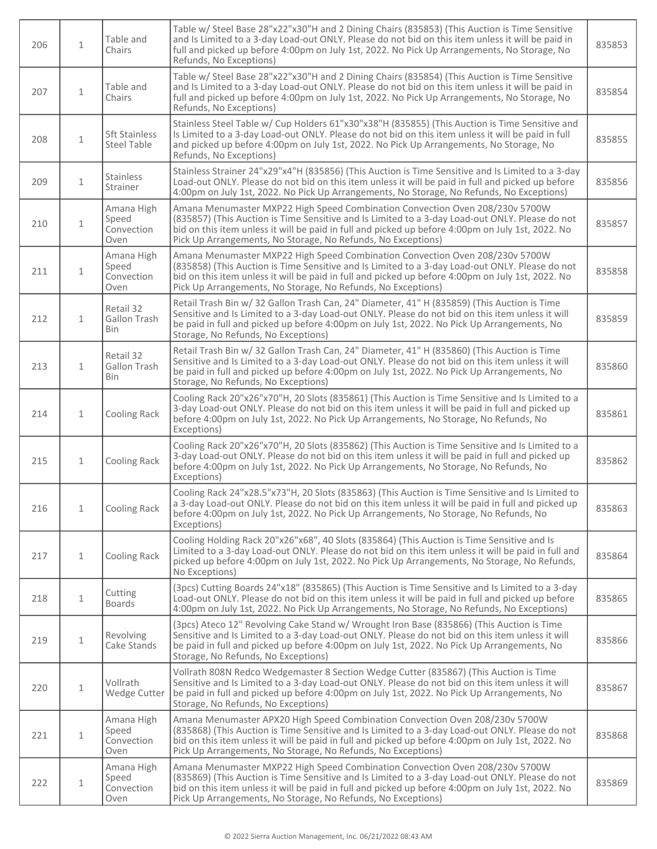| 206 | $\mathbf{1}$ | Table and<br>Chairs                        | Table w/ Steel Base 28"x22"x30"H and 2 Dining Chairs (835853) (This Auction is Time Sensitive<br>and Is Limited to a 3-day Load-out ONLY. Please do not bid on this item unless it will be paid in<br>full and picked up before 4:00pm on July 1st, 2022. No Pick Up Arrangements, No Storage, No<br>Refunds, No Exceptions)                         | 835853 |
|-----|--------------|--------------------------------------------|------------------------------------------------------------------------------------------------------------------------------------------------------------------------------------------------------------------------------------------------------------------------------------------------------------------------------------------------------|--------|
| 207 | $\mathbf{1}$ | Table and<br>Chairs                        | Table w/ Steel Base 28"x22"x30"H and 2 Dining Chairs (835854) (This Auction is Time Sensitive<br>and Is Limited to a 3-day Load-out ONLY. Please do not bid on this item unless it will be paid in<br>full and picked up before 4:00pm on July 1st, 2022. No Pick Up Arrangements, No Storage, No<br>Refunds, No Exceptions)                         | 835854 |
| 208 | $\mathbf{1}$ | <b>5ft Stainless</b><br><b>Steel Table</b> | Stainless Steel Table w/ Cup Holders 61"x30"x38"H (835855) (This Auction is Time Sensitive and<br>Is Limited to a 3-day Load-out ONLY. Please do not bid on this item unless it will be paid in full<br>and picked up before 4:00pm on July 1st, 2022. No Pick Up Arrangements, No Storage, No<br>Refunds, No Exceptions)                            | 835855 |
| 209 | $\mathbf{1}$ | Stainless<br>Strainer                      | Stainless Strainer 24"x29"x4"H (835856) (This Auction is Time Sensitive and Is Limited to a 3-day<br>Load-out ONLY. Please do not bid on this item unless it will be paid in full and picked up before<br>4:00pm on July 1st, 2022. No Pick Up Arrangements, No Storage, No Refunds, No Exceptions)                                                  | 835856 |
| 210 | $\mathbf{1}$ | Amana High<br>Speed<br>Convection<br>Oven  | Amana Menumaster MXP22 High Speed Combination Convection Oven 208/230v 5700W<br>(835857) (This Auction is Time Sensitive and Is Limited to a 3-day Load-out ONLY. Please do not<br>bid on this item unless it will be paid in full and picked up before 4:00pm on July 1st, 2022. No<br>Pick Up Arrangements, No Storage, No Refunds, No Exceptions) | 835857 |
| 211 | $\mathbf{1}$ | Amana High<br>Speed<br>Convection<br>Oven  | Amana Menumaster MXP22 High Speed Combination Convection Oven 208/230v 5700W<br>(835858) (This Auction is Time Sensitive and Is Limited to a 3-day Load-out ONLY. Please do not<br>bid on this item unless it will be paid in full and picked up before 4:00pm on July 1st, 2022. No<br>Pick Up Arrangements, No Storage, No Refunds, No Exceptions) | 835858 |
| 212 | $\mathbf{1}$ | Retail 32<br>Gallon Trash<br>Bin           | Retail Trash Bin w/ 32 Gallon Trash Can, 24" Diameter, 41" H (835859) (This Auction is Time<br>Sensitive and Is Limited to a 3-day Load-out ONLY. Please do not bid on this item unless it will<br>be paid in full and picked up before 4:00pm on July 1st, 2022. No Pick Up Arrangements, No<br>Storage, No Refunds, No Exceptions)                 | 835859 |
| 213 | $\mathbf{1}$ | Retail 32<br>Gallon Trash<br><b>Bin</b>    | Retail Trash Bin w/ 32 Gallon Trash Can, 24" Diameter, 41" H (835860) (This Auction is Time<br>Sensitive and Is Limited to a 3-day Load-out ONLY. Please do not bid on this item unless it will<br>be paid in full and picked up before 4:00pm on July 1st, 2022. No Pick Up Arrangements, No<br>Storage, No Refunds, No Exceptions)                 | 835860 |
| 214 | $\mathbf{1}$ | Cooling Rack                               | Cooling Rack 20"x26"x70"H, 20 Slots (835861) (This Auction is Time Sensitive and Is Limited to a<br>3-day Load-out ONLY. Please do not bid on this item unless it will be paid in full and picked up<br>before 4:00pm on July 1st, 2022. No Pick Up Arrangements, No Storage, No Refunds, No<br>Exceptions)                                          | 835861 |
| 215 | $\mathbf{1}$ | Cooling Rack                               | Cooling Rack 20"x26"x70"H, 20 Slots (835862) (This Auction is Time Sensitive and Is Limited to a<br>3-day Load-out ONLY. Please do not bid on this item unless it will be paid in full and picked up<br>before 4:00pm on July 1st, 2022. No Pick Up Arrangements, No Storage, No Refunds, No<br>Exceptions)                                          | 835862 |
| 216 | $\mathbf{1}$ | Cooling Rack                               | Cooling Rack 24"x28.5"x73"H, 20 Slots (835863) (This Auction is Time Sensitive and Is Limited to<br>a 3-day Load-out ONLY. Please do not bid on this item unless it will be paid in full and picked up<br>before 4:00pm on July 1st, 2022. No Pick Up Arrangements, No Storage, No Refunds, No<br>Exceptions)                                        | 835863 |
| 217 | 1            | Cooling Rack                               | Cooling Holding Rack 20"x26"x68", 40 Slots (835864) (This Auction is Time Sensitive and Is<br>Limited to a 3-day Load-out ONLY. Please do not bid on this item unless it will be paid in full and<br>picked up before 4:00pm on July 1st, 2022. No Pick Up Arrangements, No Storage, No Refunds,<br>No Exceptions)                                   | 835864 |
| 218 | $\mathbf{1}$ | Cutting<br><b>Boards</b>                   | (3pcs) Cutting Boards 24"x18" (835865) (This Auction is Time Sensitive and Is Limited to a 3-day<br>Load-out ONLY. Please do not bid on this item unless it will be paid in full and picked up before<br>4:00pm on July 1st, 2022. No Pick Up Arrangements, No Storage, No Refunds, No Exceptions)                                                   | 835865 |
| 219 | $\mathbf 1$  | Revolving<br>Cake Stands                   | (3pcs) Ateco 12" Revolving Cake Stand w/ Wrought Iron Base (835866) (This Auction is Time<br>Sensitive and Is Limited to a 3-day Load-out ONLY. Please do not bid on this item unless it will<br>be paid in full and picked up before 4:00pm on July 1st, 2022. No Pick Up Arrangements, No<br>Storage, No Refunds, No Exceptions)                   | 835866 |
| 220 | $\mathbf{1}$ | Vollrath<br>Wedge Cutter                   | Vollrath 808N Redco Wedgemaster 8 Section Wedge Cutter (835867) (This Auction is Time<br>Sensitive and Is Limited to a 3-day Load-out ONLY. Please do not bid on this item unless it will<br>be paid in full and picked up before 4:00pm on July 1st, 2022. No Pick Up Arrangements, No<br>Storage, No Refunds, No Exceptions)                       | 835867 |
| 221 | 1            | Amana High<br>Speed<br>Convection<br>Oven  | Amana Menumaster APX20 High Speed Combination Convection Oven 208/230v 5700W<br>(835868) (This Auction is Time Sensitive and Is Limited to a 3-day Load-out ONLY. Please do not<br>bid on this item unless it will be paid in full and picked up before 4:00pm on July 1st, 2022. No<br>Pick Up Arrangements, No Storage, No Refunds, No Exceptions) | 835868 |
| 222 | $\mathbf{1}$ | Amana High<br>Speed<br>Convection<br>Oven  | Amana Menumaster MXP22 High Speed Combination Convection Oven 208/230v 5700W<br>(835869) (This Auction is Time Sensitive and Is Limited to a 3-day Load-out ONLY. Please do not<br>bid on this item unless it will be paid in full and picked up before 4:00pm on July 1st, 2022. No<br>Pick Up Arrangements, No Storage, No Refunds, No Exceptions) | 835869 |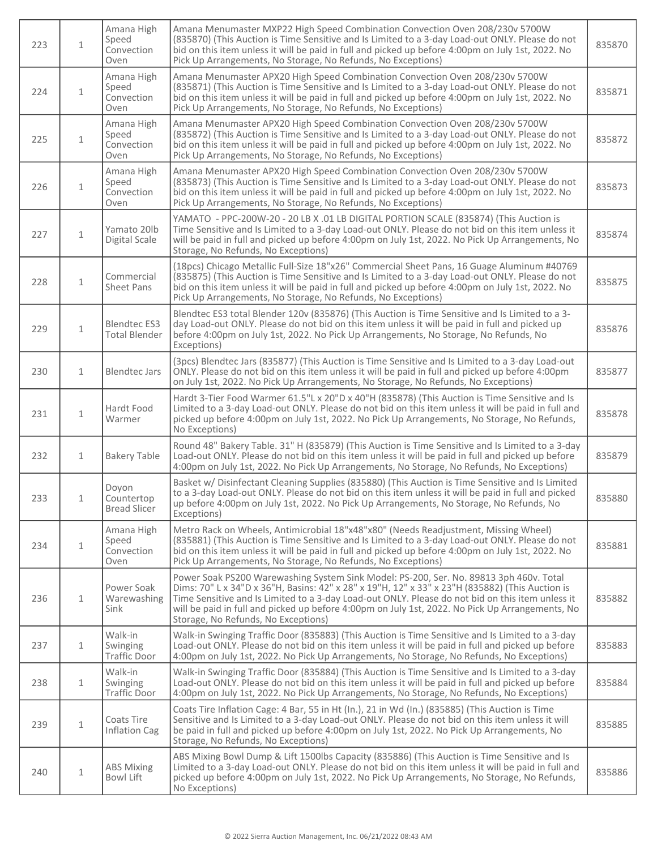| 223 | $\mathbf{1}$ | Amana High<br>Speed<br>Convection<br>Oven   | Amana Menumaster MXP22 High Speed Combination Convection Oven 208/230v 5700W<br>(835870) (This Auction is Time Sensitive and Is Limited to a 3-day Load-out ONLY. Please do not<br>bid on this item unless it will be paid in full and picked up before 4:00pm on July 1st, 2022. No<br>Pick Up Arrangements, No Storage, No Refunds, No Exceptions)                                                                                    | 835870 |
|-----|--------------|---------------------------------------------|-----------------------------------------------------------------------------------------------------------------------------------------------------------------------------------------------------------------------------------------------------------------------------------------------------------------------------------------------------------------------------------------------------------------------------------------|--------|
| 224 | $\mathbf{1}$ | Amana High<br>Speed<br>Convection<br>Oven   | Amana Menumaster APX20 High Speed Combination Convection Oven 208/230v 5700W<br>(835871) (This Auction is Time Sensitive and Is Limited to a 3-day Load-out ONLY. Please do not<br>bid on this item unless it will be paid in full and picked up before 4:00pm on July 1st, 2022. No<br>Pick Up Arrangements, No Storage, No Refunds, No Exceptions)                                                                                    | 835871 |
| 225 | $\mathbf{1}$ | Amana High<br>Speed<br>Convection<br>Oven   | Amana Menumaster APX20 High Speed Combination Convection Oven 208/230v 5700W<br>(835872) (This Auction is Time Sensitive and Is Limited to a 3-day Load-out ONLY. Please do not<br>bid on this item unless it will be paid in full and picked up before 4:00pm on July 1st, 2022. No<br>Pick Up Arrangements, No Storage, No Refunds, No Exceptions)                                                                                    | 835872 |
| 226 | $\mathbf{1}$ | Amana High<br>Speed<br>Convection<br>Oven   | Amana Menumaster APX20 High Speed Combination Convection Oven 208/230v 5700W<br>(835873) (This Auction is Time Sensitive and Is Limited to a 3-day Load-out ONLY. Please do not<br>bid on this item unless it will be paid in full and picked up before 4:00pm on July 1st, 2022. No<br>Pick Up Arrangements, No Storage, No Refunds, No Exceptions)                                                                                    | 835873 |
| 227 | $\mathbf{1}$ | Yamato 20lb<br>Digital Scale                | YAMATO - PPC-200W-20 - 20 LB X .01 LB DIGITAL PORTION SCALE (835874) (This Auction is<br>Time Sensitive and Is Limited to a 3-day Load-out ONLY. Please do not bid on this item unless it<br>will be paid in full and picked up before 4:00pm on July 1st, 2022. No Pick Up Arrangements, No<br>Storage, No Refunds, No Exceptions)                                                                                                     | 835874 |
| 228 | $\mathbf{1}$ | Commercial<br>Sheet Pans                    | (18pcs) Chicago Metallic Full-Size 18"x26" Commercial Sheet Pans, 16 Guage Aluminum #40769<br>(835875) (This Auction is Time Sensitive and Is Limited to a 3-day Load-out ONLY. Please do not<br>bid on this item unless it will be paid in full and picked up before 4:00pm on July 1st, 2022. No<br>Pick Up Arrangements, No Storage, No Refunds, No Exceptions)                                                                      | 835875 |
| 229 | $\mathbf{1}$ | <b>Blendtec ES3</b><br><b>Total Blender</b> | Blendtec ES3 total Blender 120v (835876) (This Auction is Time Sensitive and Is Limited to a 3-<br>day Load-out ONLY. Please do not bid on this item unless it will be paid in full and picked up<br>before 4:00pm on July 1st, 2022. No Pick Up Arrangements, No Storage, No Refunds, No<br>Exceptions)                                                                                                                                | 835876 |
| 230 | $\mathbf{1}$ | <b>Blendtec Jars</b>                        | (3pcs) Blendtec Jars (835877) (This Auction is Time Sensitive and Is Limited to a 3-day Load-out<br>ONLY. Please do not bid on this item unless it will be paid in full and picked up before 4:00pm<br>on July 1st, 2022. No Pick Up Arrangements, No Storage, No Refunds, No Exceptions)                                                                                                                                               | 835877 |
| 231 | $\mathbf{1}$ | Hardt Food<br>Warmer                        | Hardt 3-Tier Food Warmer 61.5"L x 20"D x 40"H (835878) (This Auction is Time Sensitive and Is<br>Limited to a 3-day Load-out ONLY. Please do not bid on this item unless it will be paid in full and<br>picked up before 4:00pm on July 1st, 2022. No Pick Up Arrangements, No Storage, No Refunds,<br>No Exceptions)                                                                                                                   | 835878 |
| 232 | $\mathbf{1}$ | <b>Bakery Table</b>                         | Round 48" Bakery Table. 31" H (835879) (This Auction is Time Sensitive and Is Limited to a 3-day<br>Load-out ONLY. Please do not bid on this item unless it will be paid in full and picked up before<br>4:00pm on July 1st, 2022. No Pick Up Arrangements, No Storage, No Refunds, No Exceptions)                                                                                                                                      | 835879 |
| 233 | 1            | Doyon<br>Countertop<br><b>Bread Slicer</b>  | Basket w/ Disinfectant Cleaning Supplies (835880) (This Auction is Time Sensitive and Is Limited<br>to a 3-day Load-out ONLY. Please do not bid on this item unless it will be paid in full and picked<br>up before 4:00pm on July 1st, 2022. No Pick Up Arrangements, No Storage, No Refunds, No<br>Exceptions)                                                                                                                        | 835880 |
| 234 | $\mathbf{1}$ | Amana High<br>Speed<br>Convection<br>Oven   | Metro Rack on Wheels, Antimicrobial 18"x48"x80" (Needs Readjustment, Missing Wheel)<br>(835881) (This Auction is Time Sensitive and Is Limited to a 3-day Load-out ONLY. Please do not<br>bid on this item unless it will be paid in full and picked up before 4:00pm on July 1st, 2022. No<br>Pick Up Arrangements, No Storage, No Refunds, No Exceptions)                                                                             | 835881 |
| 236 | $\mathbf{1}$ | Power Soak<br>Warewashing<br>Sink           | Power Soak PS200 Warewashing System Sink Model: PS-200, Ser. No. 89813 3ph 460v. Total<br>Dims: 70" L x 34"D x 36"H, Basins: 42" x 28" x 19"H, 12" x 33" x 23"H (835882) (This Auction is<br>Time Sensitive and Is Limited to a 3-day Load-out ONLY. Please do not bid on this item unless it<br>will be paid in full and picked up before 4:00pm on July 1st, 2022. No Pick Up Arrangements, No<br>Storage, No Refunds, No Exceptions) | 835882 |
| 237 | $\mathbf{1}$ | Walk-in<br>Swinging<br><b>Traffic Door</b>  | Walk-in Swinging Traffic Door (835883) (This Auction is Time Sensitive and Is Limited to a 3-day<br>Load-out ONLY. Please do not bid on this item unless it will be paid in full and picked up before<br>4:00pm on July 1st, 2022. No Pick Up Arrangements, No Storage, No Refunds, No Exceptions)                                                                                                                                      | 835883 |
| 238 | $\mathbf{1}$ | Walk-in<br>Swinging<br><b>Traffic Door</b>  | Walk-in Swinging Traffic Door (835884) (This Auction is Time Sensitive and Is Limited to a 3-day<br>Load-out ONLY. Please do not bid on this item unless it will be paid in full and picked up before<br>4:00pm on July 1st, 2022. No Pick Up Arrangements, No Storage, No Refunds, No Exceptions)                                                                                                                                      | 835884 |
| 239 | $\mathbf 1$  | Coats Tire<br><b>Inflation Cag</b>          | Coats Tire Inflation Cage: 4 Bar, 55 in Ht (In.), 21 in Wd (In.) (835885) (This Auction is Time<br>Sensitive and Is Limited to a 3-day Load-out ONLY. Please do not bid on this item unless it will<br>be paid in full and picked up before 4:00pm on July 1st, 2022. No Pick Up Arrangements, No<br>Storage, No Refunds, No Exceptions)                                                                                                | 835885 |
| 240 | $\mathbf 1$  | <b>ABS Mixing</b><br>Bowl Lift              | ABS Mixing Bowl Dump & Lift 1500lbs Capacity (835886) (This Auction is Time Sensitive and Is<br>Limited to a 3-day Load-out ONLY. Please do not bid on this item unless it will be paid in full and<br>picked up before 4:00pm on July 1st, 2022. No Pick Up Arrangements, No Storage, No Refunds,<br>No Exceptions)                                                                                                                    | 835886 |